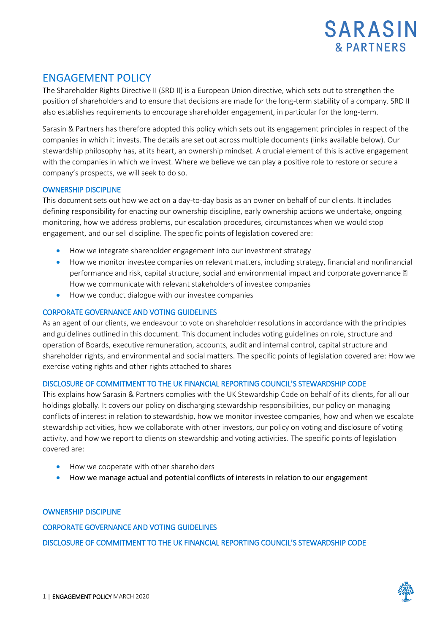

# ENGAGEMENT POLICY

The Shareholder Rights Directive II (SRD II) is a European Union directive, which sets out to strengthen the position of shareholders and to ensure that decisions are made for the long-term stability of a company. SRD II also establishes requirements to encourage shareholder engagement, in particular for the long-term.

Sarasin & Partners has therefore adopted this policy which sets out its engagement principles in respect of the companies in which it invests. The details are set out across multiple documents (links available below). Our stewardship philosophy has, at its heart, an ownership mindset. A crucial element of this is active engagement with the companies in which we invest. Where we believe we can play a positive role to restore or secure a company's prospects, we will seek to do so.

# OWNERSHIP DISCIPLINE

This document sets out how we act on a day-to-day basis as an owner on behalf of our clients. It includes defining responsibility for enacting our ownership discipline, early ownership actions we undertake, ongoing monitoring, how we address problems, our escalation procedures, circumstances when we would stop engagement, and our sell discipline. The specific points of legislation covered are:

- How we integrate shareholder engagement into our investment strategy
- How we monitor investee companies on relevant matters, including strategy, financial and nonfinancial performance and risk, capital structure, social and environmental impact and corporate governance  $\mathbb D$ How we communicate with relevant stakeholders of investee companies
- How we conduct dialogue with our investee companies

# CORPORATE GOVERNANCE AND VOTING GUIDELINES

As an agent of our clients, we endeavour to vote on shareholder resolutions in accordance with the principles and guidelines outlined in this document. This document includes voting guidelines on role, structure and operation of Boards, executive remuneration, accounts, audit and internal control, capital structure and shareholder rights, and environmental and social matters. The specific points of legislation covered are: How we exercise voting rights and other rights attached to shares

# DISCLOSURE OF COMMITMENT TO THE UK FINANCIAL REPORTING COUNCIL'S STEWARDSHIP CODE

This explains how Sarasin & Partners complies with the UK Stewardship Code on behalf of its clients, for all our holdings globally. It covers our policy on discharging stewardship responsibilities, our policy on managing conflicts of interest in relation to stewardship, how we monitor investee companies, how and when we escalate stewardship activities, how we collaborate with other investors, our policy on voting and disclosure of voting activity, and how we report to clients on stewardship and voting activities. The specific points of legislation covered are:

- How we cooperate with other shareholders
- How we manage actual and potential conflicts of interests in relation to our engagement

### [OWNERSHIP DISCIPLINE](http://www.sarasinandpartners.com/docs/default-source/esg/ownership-discipline.pdf)

[CORPORATE GOVERNANCE AND VOTING GUIDELINES](http://www.sarasinandpartners.com/docs/default-source/esg/corporate-governance-and-voting-guidelines.pdf)  [DISCLOSURE OF COMMITMENT TO THE UK FINANCIAL REPORTING COUNC](https://www.sarasinandpartners.com/docs/default-source/esg/disclosure-of-commitment-to-the-uk-financial-reporting-council-39-s-stewardship-code.pdf?sfvrsn=14)IL'S STEWARDSHIP CODE